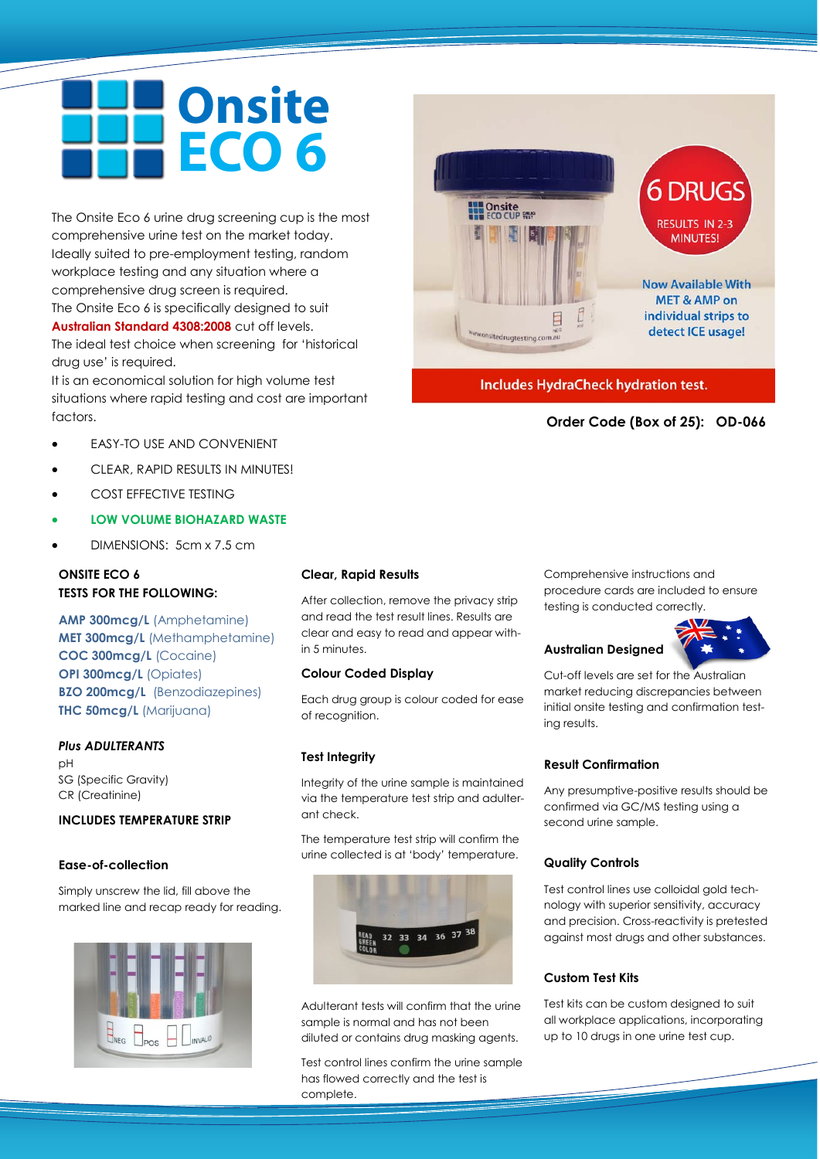# **Onsite** ECO 6

The Onsite Eco 6 urine drug screening cup is the most comprehensive urine test on the market today. Ideally suited to pre-employment testing, random workplace testing and any situation where a comprehensive drug screen is required. The Onsite Eco 6 is specifically designed to suit **Australian Standard 4308:2008** cut off levels. The ideal test choice when screening for 'historical drug use' is required.

It is an economical solution for high volume test situations where rapid testing and cost are important factors.

- EASY-TO USE AND CONVENIENT
- CLEAR, RAPID RESULTS IN MINUTES!
- COST EFFECTIVE TESTING
- **LOW VOLUME BIOHAZARD WASTE**
- DIMENSIONS: 5cm x 7.5 cm

#### **ONSITE ECO 6 TESTS FOR THE FOLLOWING:**

**AMP 300mcg/L** (Amphetamine) **MET 300mcg/L** (Methamphetamine) **COC 300mcg/L** (Cocaine) **OPI 300mcg/L (Opiates) BZO 200mcg/L** (Benzodiazepines) **THC 50mcg/L** (Marijuana)

#### *Plus ADULTERANTS*

 $pH$ SG (Specific Gravity) CR (Creatinine)

#### **INCLUDES TEMPERATURE STRIP**

#### **Ease-of-collection**

Simply unscrew the lid, fill above the marked line and recap ready for reading.



#### **Clear, Rapid Results**

After collection, remove the privacy strip and read the test result lines. Results are clear and easy to read and appear within 5 minutes.

#### **Colour Coded Display**

Each drug group is colour coded for ease of recognition.

#### **Test Integrity**

Integrity of the urine sample is maintained via the temperature test strip and adulterant check.

The temperature test strip will confirm the urine collected is at 'body' temperature.



Adulterant tests will confirm that the urine sample is normal and has not been diluted or contains drug masking agents.

Test control lines confirm the urine sample has flowed correctly and the test is complete.



#### **Australian Designed**

Cut-off levels are set for the Australian market reducing discrepancies between initial onsite testing and confirmation testing results.

#### **Result Confirmation**

Any presumptive-positive results should be confirmed via GC/MS testing using a second urine sample.

#### **Quality Controls**

Test control lines use colloidal gold technology with superior sensitivity, accuracy and precision. Cross-reactivity is pretested against most drugs and other substances.

#### **Custom Test Kits**

Test kits can be custom designed to suit all workplace applications, incorporating up to 10 drugs in one urine test cup.



**Includes HydraCheck hydration test.** 

**Order Code (Box of 25): OD-066**